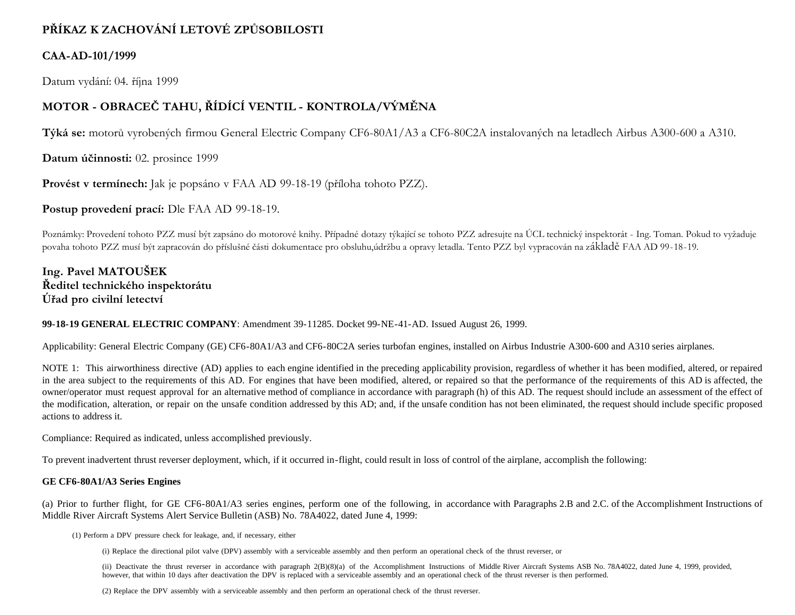# **PŘÍKAZ K ZACHOVÁNÍ LETOVÉ ZPŮSOBILOSTI**

### **CAA-AD-101/1999**

Datum vydání: 04. října 1999

## **MOTOR - OBRACEČ TAHU, ŘÍDÍCÍ VENTIL - KONTROLA/VÝMĚNA**

**Týká se:** motorů vyrobených firmou General Electric Company CF6-80A1/A3 a CF6-80C2A instalovaných na letadlech Airbus A300-600 a A310.

**Datum účinnosti:** 02. prosince 1999

**Provést v termínech:** Jak je popsáno v FAA AD 99-18-19 (příloha tohoto PZZ).

**Postup provedení prací:** Dle FAA AD 99-18-19.

Poznámky: Provedení tohoto PZZ musí být zapsáno do motorové knihy. Případné dotazy týkající se tohoto PZZ adresujte na ÚCL technický inspektorát - Ing. Toman. Pokud to vyžaduje povaha tohoto PZZ musí být zapracován do příslušné části dokumentace pro obsluhu,údržbu a opravy letadla. Tento PZZ byl vypracován na základě FAA AD 99-18-19.

**Ing. Pavel MATOUŠEK Ředitel technického inspektorátu Úřad pro civilní letectví**

#### **99-18-19 GENERAL ELECTRIC COMPANY**: Amendment 39-11285. Docket 99-NE-41-AD. Issued August 26, 1999.

Applicability: General Electric Company (GE) CF6-80A1/A3 and CF6-80C2A series turbofan engines, installed on Airbus Industrie A300-600 and A310 series airplanes.

NOTE 1: This airworthiness directive (AD) applies to each engine identified in the preceding applicability provision, regardless of whether it has been modified, altered, or repaired in the area subject to the requirements of this AD. For engines that have been modified, altered, or repaired so that the performance of the requirements of this AD is affected, the owner/operator must request approval for an alternative method of compliance in accordance with paragraph (h) of this AD. The request should include an assessment of the effect of the modification, alteration, or repair on the unsafe condition addressed by this AD; and, if the unsafe condition has not been eliminated, the request should include specific proposed actions to address it.

Compliance: Required as indicated, unless accomplished previously.

To prevent inadvertent thrust reverser deployment, which, if it occurred in-flight, could result in loss of control of the airplane, accomplish the following:

#### **GE CF6-80A1/A3 Series Engines**

(a) Prior to further flight, for GE CF6-80A1/A3 series engines, perform one of the following, in accordance with Paragraphs 2.B and 2.C. of the Accomplishment Instructions of Middle River Aircraft Systems Alert Service Bulletin (ASB) No. 78A4022, dated June 4, 1999:

(1) Perform a DPV pressure check for leakage, and, if necessary, either

(i) Replace the directional pilot valve (DPV) assembly with a serviceable assembly and then perform an operational check of the thrust reverser, or

(ii) Deactivate the thrust reverser in accordance with paragraph 2(B)(8)(a) of the Accomplishment Instructions of Middle River Aircraft Systems ASB No. 78A4022, dated June 4, 1999, provided, however, that within 10 days after deactivation the DPV is replaced with a serviceable assembly and an operational check of the thrust reverser is then performed.

(2) Replace the DPV assembly with a serviceable assembly and then perform an operational check of the thrust reverser.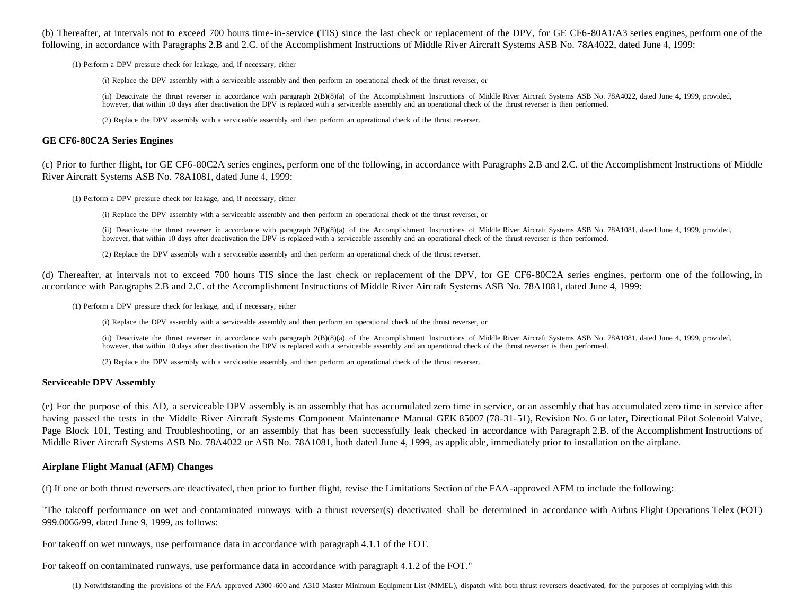(b) Thereafter, at intervals not to exceed 700 hours time-in-service (TIS) since the last check or replacement of the DPV, for GE CF6-80A1/A3 series engines, perform one of the following, in accordance with Paragraphs 2.B and 2.C. of the Accomplishment Instructions of Middle River Aircraft Systems ASB No. 78A4022, dated June 4, 1999:

(1) Perform a DPV pressure check for leakage, and, if necessary, either

(i) Replace the DPV assembly with a serviceable assembly and then perform an operational check of the thrust reverser, or

(ii) Deactivate the thrust reverser in accordance with paragraph 2(B)(8)(a) of the Accomplishment Instructions of Middle River Aircraft Systems ASB No. 78A4022, dated June 4, 1999, provided, however, that within 10 days after deactivation the DPV is replaced with a serviceable assembly and an operational check of the thrust reverser is then performed.

(2) Replace the DPV assembly with a serviceable assembly and then perform an operational check of the thrust reverser.

#### **GE CF6-80C2A Series Engines**

(c) Prior to further flight, for GE CF6-80C2A series engines, perform one of the following, in accordance with Paragraphs 2.B and 2.C. of the Accomplishment Instructions of Middle River Aircraft Systems ASB No. 78A1081, dated June 4, 1999:

(1) Perform a DPV pressure check for leakage, and, if necessary, either

(i) Replace the DPV assembly with a serviceable assembly and then perform an operational check of the thrust reverser, or

(ii) Deactivate the thrust reverser in accordance with paragraph 2(B)(8)(a) of the Accomplishment Instructions of Middle River Aircraft Systems ASB No. 78A1081, dated June 4, 1999, provided, however, that within 10 days after deactivation the DPV is replaced with a serviceable assembly and an operational check of the thrust reverser is then performed.

(2) Replace the DPV assembly with a serviceable assembly and then perform an operational check of the thrust reverser.

(d) Thereafter, at intervals not to exceed 700 hours TIS since the last check or replacement of the DPV, for GE CF6-80C2A series engines, perform one of the following, in accordance with Paragraphs 2.B and 2.C. of the Accomplishment Instructions of Middle River Aircraft Systems ASB No. 78A1081, dated June 4, 1999:

(1) Perform a DPV pressure check for leakage, and, if necessary, either

(i) Replace the DPV assembly with a serviceable assembly and then perform an operational check of the thrust reverser, or

(ii) Deactivate the thrust reverser in accordance with paragraph 2(B)(8)(a) of the Accomplishment Instructions of Middle River Aircraft Systems ASB No. 78A1081, dated June 4, 1999, provided, however, that within 10 days after deactivation the DPV is replaced with a serviceable assembly and an operational check of the thrust reverser is then performed.

(2) Replace the DPV assembly with a serviceable assembly and then perform an operational check of the thrust reverser.

#### **Serviceable DPV Assembly**

(e) For the purpose of this AD, a serviceable DPV assembly is an assembly that has accumulated zero time in service, or an assembly that has accumulated zero time in service after having passed the tests in the Middle River Aircraft Systems Component Maintenance Manual GEK 85007 (78-31-51), Revision No. 6 or later, Directional Pilot Solenoid Valve, Page Block 101, Testing and Troubleshooting, or an assembly that has been successfully leak checked in accordance with Paragraph 2.B. of the Accomplishment Instructions of Middle River Aircraft Systems ASB No. 78A4022 or ASB No. 78A1081, both dated June 4, 1999, as applicable, immediately prior to installation on the airplane.

#### **Airplane Flight Manual (AFM) Changes**

(f) If one or both thrust reversers are deactivated, then prior to further flight, revise the Limitations Section of the FAA-approved AFM to include the following:

"The takeoff performance on wet and contaminated runways with a thrust reverser(s) deactivated shall be determined in accordance with Airbus Flight Operations Telex (FOT) 999.0066/99, dated June 9, 1999, as follows:

For takeoff on wet runways, use performance data in accordance with paragraph 4.1.1 of the FOT.

For takeoff on contaminated runways, use performance data in accordance with paragraph 4.1.2 of the FOT."

(1) Notwithstanding the provisions of the FAA approved A300-600 and A310 Master Minimum Equipment List (MMEL), dispatch with both thrust reversers deactivated, for the purposes of complying with this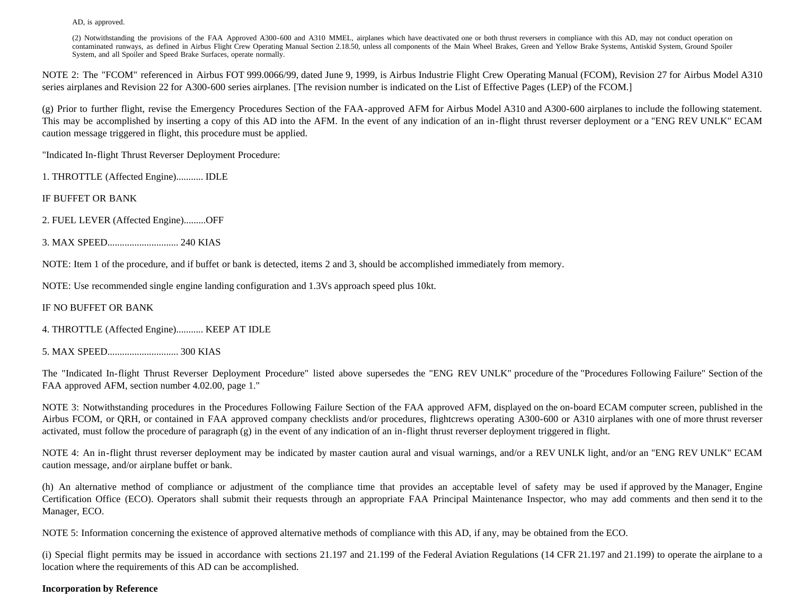AD, is approved.

(2) Notwithstanding the provisions of the FAA Approved A300-600 and A310 MMEL, airplanes which have deactivated one or both thrust reversers in compliance with this AD, may not conduct operation on contaminated runways, as defined in Airbus Flight Crew Operating Manual Section 2.18.50, unless all components of the Main Wheel Brakes, Green and Yellow Brake Systems, Antiskid System, Ground Spoiler System, and all Spoiler and Speed Brake Surfaces, operate normally.

NOTE 2: The "FCOM" referenced in Airbus FOT 999.0066/99, dated June 9, 1999, is Airbus Industrie Flight Crew Operating Manual (FCOM), Revision 27 for Airbus Model A310 series airplanes and Revision 22 for A300-600 series airplanes. [The revision number is indicated on the List of Effective Pages (LEP) of the FCOM.]

(g) Prior to further flight, revise the Emergency Procedures Section of the FAA-approved AFM for Airbus Model A310 and A300-600 airplanes to include the following statement. This may be accomplished by inserting a copy of this AD into the AFM. In the event of any indication of an in-flight thrust reverser deployment or a "ENG REV UNLK" ECAM caution message triggered in flight, this procedure must be applied.

"Indicated In-flight Thrust Reverser Deployment Procedure:

1. THROTTLE (Affected Engine)........... IDLE

IF BUFFET OR BANK

2. FUEL LEVER (Affected Engine).........OFF

3. MAX SPEED............................. 240 KIAS

NOTE: Item 1 of the procedure, and if buffet or bank is detected, items 2 and 3, should be accomplished immediately from memory.

NOTE: Use recommended single engine landing configuration and 1.3Vs approach speed plus 10kt.

#### IF NO BUFFET OR BANK

- 4. THROTTLE (Affected Engine)........... KEEP AT IDLE
- 5. MAX SPEED............................. 300 KIAS

The "Indicated In-flight Thrust Reverser Deployment Procedure" listed above supersedes the "ENG REV UNLK" procedure of the "Procedures Following Failure" Section of the FAA approved AFM, section number 4.02.00, page 1."

NOTE 3: Notwithstanding procedures in the Procedures Following Failure Section of the FAA approved AFM, displayed on the on-board ECAM computer screen, published in the Airbus FCOM, or QRH, or contained in FAA approved company checklists and/or procedures, flightcrews operating A300-600 or A310 airplanes with one of more thrust reverser activated, must follow the procedure of paragraph  $(g)$  in the event of any indication of an in-flight thrust reverser deployment triggered in flight.

NOTE 4: An in-flight thrust reverser deployment may be indicated by master caution aural and visual warnings, and/or a REV UNLK light, and/or an "ENG REV UNLK" ECAM caution message, and/or airplane buffet or bank.

(h) An alternative method of compliance or adjustment of the compliance time that provides an acceptable level of safety may be used if approved by the Manager, Engine Certification Office (ECO). Operators shall submit their requests through an appropriate FAA Principal Maintenance Inspector, who may add comments and then send it to the Manager, ECO.

NOTE 5: Information concerning the existence of approved alternative methods of compliance with this AD, if any, may be obtained from the ECO.

(i) Special flight permits may be issued in accordance with sections 21.197 and 21.199 of the Federal Aviation Regulations (14 CFR 21.197 and 21.199) to operate the airplane to a location where the requirements of this AD can be accomplished.

#### **Incorporation by Reference**